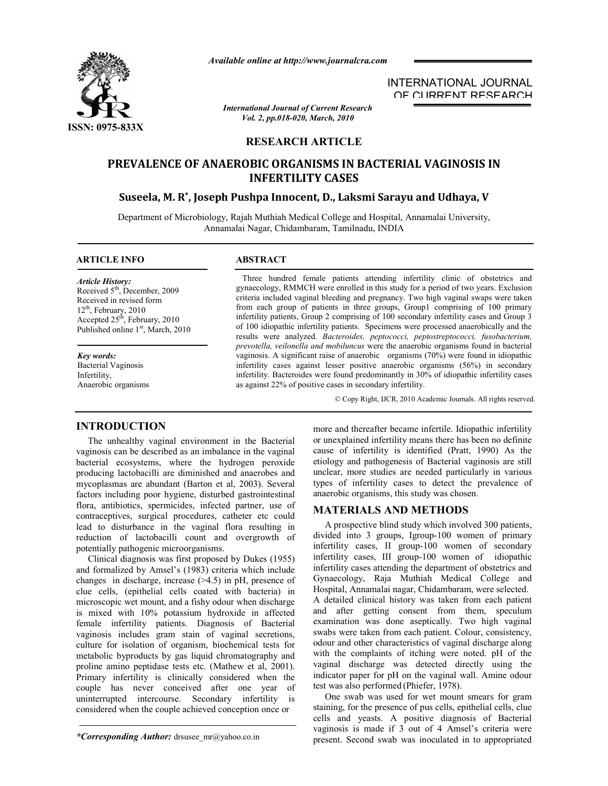

*Available online at http://www.journalcra.com*

*International Journal of Current Research Vol. 2, pp.018-020, March, 2010*

## INTERNATIONAL JOURNAL OF CURRENT RESEARCH

# **RESEARCH ARTICLE**

# **PREVALENCE OF ANAEROBIC ORGANISMS IN BACTERIAL VAGINOSIS IN INFERTILITY CASES**

# **Suseela, M. R\*, Joseph Pushpa Innocent, D., Laksmi Sarayu and Udhaya, V**

Department of Microbiology, Rajah Muthiah Medical College and Hospital, Annamalai University, Annamalai Nagar, Chidambaram, Tamilnadu, INDIA

## **ARTICLE INFO ABSTRACT**

### *Article History:*

Received 5<sup>th</sup>, December, 2009 Received in revised form 12<sup>th</sup>, February, 2010 Accepted 25<sup>th</sup>, February, 2010 Published online  $1<sup>st</sup>$ , March, 2010

*Key words:*

Bacterial Vaginosis Infertility, Anaerobic organisms

 Three hundred female patients attending infertility clinic of obstetrics and gynaecology, RMMCH were enrolled in this study for a period of two years. Exclusion criteria included vaginal bleeding and pregnancy. Two high vaginal swaps were taken from each group of patients in three groups, Group1 comprising of 100 primary infertility patients, Group 2 comprising of 100 secondary infertility cases and Group 3 of 100 idiopathic infertility patients. Specimens were processed anaerobically and the results were analyzed. *Bacteroides, peptococci, peptostreptococci, fusobacterium, prevotella, veilonella and mobiluncus* were the anaerobic organisms found in bacterial vaginosis. A significant raise of anaerobic organisms (70%) were found in idiopathic infertility cases against lesser positive anaerobic organisms (56%) in secondary infertility. Bacteroides were found predominantly in 30% of idiopathic infertility cases as against 22% of positive cases in secondary infertility.

© Copy Right, IJCR, 2010 Academic Journals. All rights reserved.

# **INTRODUCTION**

 The unhealthy vaginal environment in the Bacterial vaginosis can be described as an imbalance in the vaginal bacterial ecosystems, where the hydrogen peroxide producing lactobacilli are diminished and anaerobes and mycoplasmas are abundant (Barton et al, 2003). Several factors including poor hygiene, disturbed gastrointestinal flora, antibiotics, spermicides, infected partner, use of contraceptives, surgical procedures, catheter etc could lead to disturbance in the vaginal flora resulting in reduction of lactobacilli count and overgrowth of potentially pathogenic microorganisms.

 Clinical diagnosis was first proposed by Dukes (1955) and formalized by Amsel's (1983) criteria which include changes in discharge, increase  $(>4.5)$  in pH, presence of clue cells, (epithelial cells coated with bacteria) in microscopic wet mount, and a fishy odour when discharge is mixed with 10% potassium hydroxide in affected female infertility patients. Diagnosis of Bacterial vaginosis includes gram stain of vaginal secretions, culture for isolation of organism, biochemical tests for metabolic byproducts by gas liquid chromatography and proline amino peptidase tests etc. (Mathew et al, 2001). Primary infertility is clinically considered when the couple has never conceived after one year of uninterrupted intercourse. Secondary infertility is considered when the couple achieved conception once or

*\*Corresponding Author:* drsusee\_mr@yahoo.co.in

more and thereafter became infertile. Idiopathic infertility or unexplained infertility means there has been no definite cause of infertility is identified (Pratt, 1990) As the etiology and pathogenesis of Bacterial vaginosis are still unclear, more studies are needed particularly in various types of infertility cases to detect the prevalence of anaerobic organisms, this study was chosen.

## **MATERIALS AND METHODS**

 A prospective blind study which involved 300 patients, divided into 3 groups, Igroup-100 women of primary infertility cases, II group-100 women of secondary infertility cases, III group-100 women of idiopathic infertility cases attending the department of obstetrics and Gynaecology, Raja Muthiah Medical College and Hospital, Annamalai nagar, Chidambaram, were selected. A detailed clinical history was taken from each patient and after getting consent from them, speculum examination was done aseptically. Two high vaginal swabs were taken from each patient. Colour, consistency, odour and other characteristics of vaginal discharge along with the complaints of itching were noted. pH of the vaginal discharge was detected directly using the indicator paper for pH on the vaginal wall. Amine odour test was also performed (Phiefer, 1978).

 One swab was used for wet mount smears for gram staining, for the presence of pus cells, epithelial cells, clue cells and yeasts. A positive diagnosis of Bacterial vaginosis is made if 3 out of 4 Amsel's criteria were present. Second swab was inoculated in to appropriated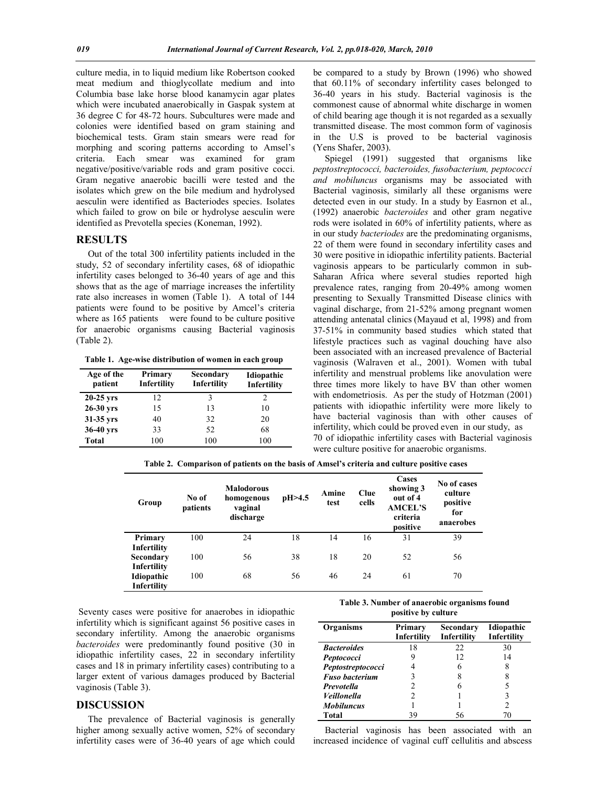culture media, in to liquid medium like Robertson cooked meat medium and thioglycollate medium and into Columbia base lake horse blood kanamycin agar plates which were incubated anaerobically in Gaspak system at 36 degree C for 48-72 hours. Subcultures were made and colonies were identified based on gram staining and biochemical tests. Gram stain smears were read for morphing and scoring patterns according to Amsel's criteria. Each smear was examined for gram negative/positive/variable rods and gram positive cocci. Gram negative anaerobic bacilli were tested and the isolates which grew on the bile medium and hydrolysed aesculin were identified as Bacteriodes species. Isolates which failed to grow on bile or hydrolyse aesculin were identified as Prevotella species (Koneman, 1992).

## **RESULTS**

 Out of the total 300 infertility patients included in the study, 52 of secondary infertility cases, 68 of idiopathic infertility cases belonged to 36-40 years of age and this shows that as the age of marriage increases the infertility rate also increases in women (Table 1). A total of 144 patients were found to be positive by Amcel's criteria where as 165 patients were found to be culture positive for anaerobic organisms causing Bacterial vaginosis (Table 2).

**Table 1. Age-wise distribution of women in each group**

| Age of the<br>patient | Primary<br>Infertility | Secondary<br><b>Infertility</b> | Idiopathic<br><b>Infertility</b> |
|-----------------------|------------------------|---------------------------------|----------------------------------|
| $20-25$ yrs           | 12                     |                                 |                                  |
| $26-30$ yrs           | 15                     | 13                              | 10                               |
| 31-35 yrs             | 40                     | 32                              | 20                               |
| $36-40$ yrs           | 33                     | 52                              | 68                               |
| <b>Total</b>          | 100                    | 100                             | 100                              |

be compared to a study by Brown (1996) who showed that 60.11% of secondary infertility cases belonged to 36-40 years in his study. Bacterial vaginosis is the commonest cause of abnormal white discharge in women of child bearing age though it is not regarded as a sexually transmitted disease. The most common form of vaginosis in the U.S is proved to be bacterial vaginosis (Yens Shafer, 2003).

 Spiegel (1991) suggested that organisms like *peptostreptococci, bacteroides, fusobacterium, peptococci and mobiluncus* organisms may be associated with Bacterial vaginosis, similarly all these organisms were detected even in our study. In a study by Easrnon et al., (1992) anaerobic *bacteroides* and other gram negative rods were isolated in 60% of infertility patients, where as in our study *bacteriodes* are the predominating organisms, 22 of them were found in secondary infertility cases and 30 were positive in idiopathic infertility patients. Bacterial vaginosis appears to be particularly common in sub-Saharan Africa where several studies reported high prevalence rates, ranging from 20-49% among women presenting to Sexually Transmitted Disease clinics with vaginal discharge, from 21-52% among pregnant women attending antenatal clinics (Mayaud et al, 1998) and from 37-51% in community based studies which stated that lifestyle practices such as vaginal douching have also been associated with an increased prevalence of Bacterial vaginosis (Walraven et al., 2001). Women with tubal infertility and menstrual problems like anovulation were three times more likely to have BV than other women with endometriosis. As per the study of Hotzman (2001) patients with idiopathic infertility were more likely to have bacterial vaginosis than with other causes of infertility, which could be proved even in our study, as 70 of idiopathic infertility cases with Bacterial vaginosis were culture positive for anaerobic organisms.

**Table 2. Comparison of patients on the basis of Amsel's criteria and culture positive cases**

| Group       | No of<br>patients | <b>Malodorous</b><br>homogenous<br>vaginal<br>discharge | pH>4.5 | Amine<br>test | Clue<br>cells | Cases<br>showing 3<br>out of 4<br><b>AMCEL'S</b><br>criteria<br>positive | No of cases<br>culture<br>positive<br>for<br>anaerobes |
|-------------|-------------------|---------------------------------------------------------|--------|---------------|---------------|--------------------------------------------------------------------------|--------------------------------------------------------|
| Primary     | 100               | 24                                                      | 18     | 14            | 16            | 31                                                                       | 39                                                     |
| Infertility |                   |                                                         |        |               |               |                                                                          |                                                        |
| Secondary   | 100               | 56                                                      | 38     | 18            | 20            | 52                                                                       | 56                                                     |
| Infertility |                   |                                                         |        |               |               |                                                                          |                                                        |
| Idiopathic  | 100               | 68                                                      | 56     | 46            | 24            | 61                                                                       | 70                                                     |
| Infertility |                   |                                                         |        |               |               |                                                                          |                                                        |

Seventy cases were positive for anaerobes in idiopathic infertility which is significant against 56 positive cases in secondary infertility. Among the anaerobic organisms *bacteroides* were predominantly found positive (30 in idiopathic infertility cases, 22 in secondary infertility cases and 18 in primary infertility cases) contributing to a larger extent of various damages produced by Bacterial vaginosis (Table 3).

### **DISCUSSION**

 The prevalence of Bacterial vaginosis is generally higher among sexually active women, 52% of secondary infertility cases were of 36-40 years of age which could

**Table 3. Number of anaerobic organisms found positive by culture**

| Organisms             | Primary<br>Infertility | Secondary<br><b>Infertility</b> | Idiopathic<br>Infertility |
|-----------------------|------------------------|---------------------------------|---------------------------|
| <b>Bacteroides</b>    | 18                     | 22                              | 30                        |
| Peptococci            |                        | 12                              | 14                        |
| Peptostreptococci     |                        | 6                               | 8                         |
| <b>Fuso bacterium</b> | 3                      |                                 | 8                         |
| Prevotella            |                        |                                 |                           |
| Veillonella           |                        |                                 | 3                         |
| <b>Mobiluncus</b>     |                        |                                 |                           |
| Total                 | 39                     | 56                              | 70                        |

 Bacterial vaginosis has been associated with an increased incidence of vaginal cuff cellulitis and abscess